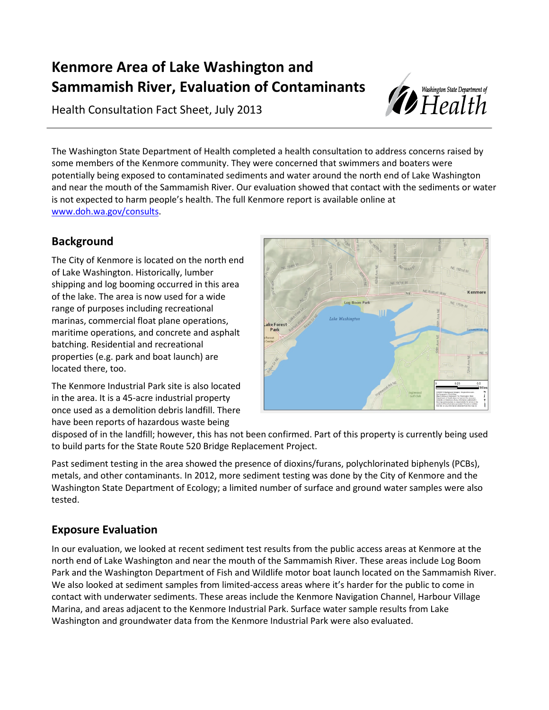# **Kenmore Area of Lake Washington and Sammamish River, Evaluation of Contaminants**

Health Consultation Fact Sheet, July 2013



The Washington State Department of Health completed a health consultation to address concerns raised by some members of the Kenmore community. They were concerned that swimmers and boaters were potentially being exposed to contaminated sediments and water around the north end of Lake Washington and near the mouth of the Sammamish River. Our evaluation showed that contact with the sediments or water is not expected to harm people's health. The full Kenmore report is available online at [www.doh.wa.gov/consults.](http://www.doh.wa.gov/consults)

# **Background**

The City of Kenmore is located on the north end of Lake Washington. Historically, lumber shipping and log booming occurred in this area of the lake. The area is now used for a wide range of purposes including recreational marinas, commercial float plane operations, maritime operations, and concrete and asphalt batching. Residential and recreational properties (e.g. park and boat launch) are located there, too.



The Kenmore Industrial Park site is also located in the area. It is a 45-acre industrial property once used as a demolition debris landfill. There have been reports of hazardous waste being

disposed of in the landfill; however, this has not been confirmed. Part of this property is currently being used to build parts for the State Route 520 Bridge Replacement Project.

Past sediment testing in the area showed the presence of dioxins/furans, polychlorinated biphenyls (PCBs), metals, and other contaminants. In 2012, more sediment testing was done by the City of Kenmore and the Washington State Department of Ecology; a limited number of surface and ground water samples were also tested.

# **Exposure Evaluation**

In our evaluation, we looked at recent sediment test results from the public access areas at Kenmore at the north end of Lake Washington and near the mouth of the Sammamish River. These areas include Log Boom Park and the Washington Department of Fish and Wildlife motor boat launch located on the Sammamish River. We also looked at sediment samples from limited-access areas where it's harder for the public to come in contact with underwater sediments. These areas include the Kenmore Navigation Channel, Harbour Village Marina, and areas adjacent to the Kenmore Industrial Park. Surface water sample results from Lake Washington and groundwater data from the Kenmore Industrial Park were also evaluated.